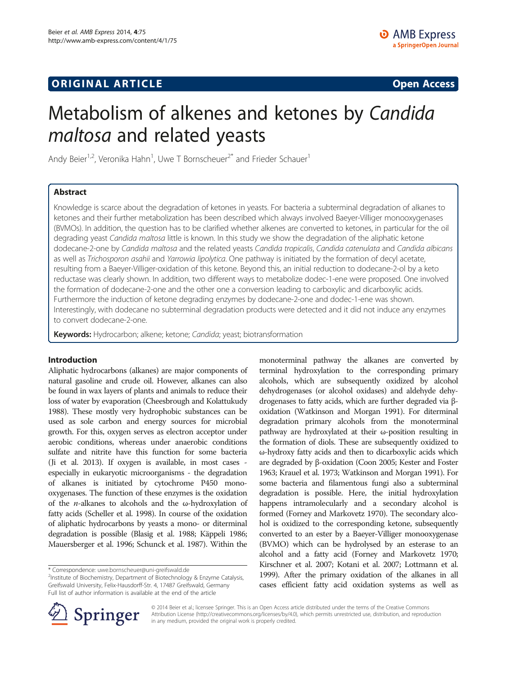# **ORIGINAL ARTICLE CONSUMING A LIGACION CONSUMING A LIGACION CONSUMING A LIGACION**

# Metabolism of alkenes and ketones by Candida maltosa and related yeasts

Andy Beier<sup>1,2</sup>, Veronika Hahn<sup>1</sup>, Uwe T Bornscheuer<sup>2\*</sup> and Frieder Schauer<sup>1</sup>

## Abstract

Knowledge is scarce about the degradation of ketones in yeasts. For bacteria a subterminal degradation of alkanes to ketones and their further metabolization has been described which always involved Baeyer-Villiger monooxygenases (BVMOs). In addition, the question has to be clarified whether alkenes are converted to ketones, in particular for the oil degrading yeast Candida maltosa little is known. In this study we show the degradation of the aliphatic ketone dodecane-2-one by Candida maltosa and the related yeasts Candida tropicalis, Candida catenulata and Candida albicans as well as Trichosporon asahii and Yarrowia lipolytica. One pathway is initiated by the formation of decyl acetate, resulting from a Baeyer-Villiger-oxidation of this ketone. Beyond this, an initial reduction to dodecane-2-ol by a keto reductase was clearly shown. In addition, two different ways to metabolize dodec-1-ene were proposed. One involved the formation of dodecane-2-one and the other one a conversion leading to carboxylic and dicarboxylic acids. Furthermore the induction of ketone degrading enzymes by dodecane-2-one and dodec-1-ene was shown. Interestingly, with dodecane no subterminal degradation products were detected and it did not induce any enzymes to convert dodecane-2-one.

Keywords: Hydrocarbon; alkene; ketone; Candida; yeast; biotransformation

#### Introduction

Aliphatic hydrocarbons (alkanes) are major components of natural gasoline and crude oil. However, alkanes can also be found in wax layers of plants and animals to reduce their loss of water by evaporation (Cheesbrough and Kolattukudy [1988\)](#page-7-0). These mostly very hydrophobic substances can be used as sole carbon and energy sources for microbial growth. For this, oxygen serves as electron acceptor under aerobic conditions, whereas under anaerobic conditions sulfate and nitrite have this function for some bacteria (Ji et al. [2013\)](#page-7-0). If oxygen is available, in most cases especially in eukaryotic microorganisms - the degradation of alkanes is initiated by cytochrome P450 monooxygenases. The function of these enzymes is the oxidation of the *n*-alkanes to alcohols and the  $\omega$ -hydroxylation of fatty acids (Scheller et al. [1998](#page-7-0)). In course of the oxidation of aliphatic hydrocarbons by yeasts a mono- or diterminal degradation is possible (Blasig et al. [1988;](#page-7-0) Käppeli [1986](#page-7-0); Mauersberger et al. [1996;](#page-7-0) Schunck et al. [1987\)](#page-7-0). Within the

monoterminal pathway the alkanes are converted by terminal hydroxylation to the corresponding primary alcohols, which are subsequently oxidized by alcohol dehydrogenases (or alcohol oxidases) and aldehyde dehydrogenases to fatty acids, which are further degraded via βoxidation (Watkinson and Morgan [1991\)](#page-7-0). For diterminal degradation primary alcohols from the monoterminal pathway are hydroxylated at their ω-position resulting in the formation of diols. These are subsequently oxidized to ω-hydroxy fatty acids and then to dicarboxylic acids which are degraded by β-oxidation (Coon [2005](#page-7-0); Kester and Foster [1963;](#page-7-0) Krauel et al. [1973;](#page-7-0) Watkinson and Morgan [1991](#page-7-0)). For some bacteria and filamentous fungi also a subterminal degradation is possible. Here, the initial hydroxylation happens intramolecularly and a secondary alcohol is formed (Forney and Markovetz [1970](#page-7-0)). The secondary alcohol is oxidized to the corresponding ketone, subsequently converted to an ester by a Baeyer-Villiger monooxygenase (BVMO) which can be hydrolysed by an esterase to an alcohol and a fatty acid (Forney and Markovetz [1970](#page-7-0); Kirschner et al. [2007;](#page-7-0) Kotani et al. [2007](#page-7-0); Lottmann et al. [1999\)](#page-7-0). After the primary oxidation of the alkanes in all cases efficient fatty acid oxidation systems as well as



© 2014 Beier et al.; licensee Springer. This is an Open Access article distributed under the terms of the Creative Commons Attribution License [\(http://creativecommons.org/licenses/by/4.0\)](http://creativecommons.org/licenses/by/4.0), which permits unrestricted use, distribution, and reproduction in any medium, provided the original work is properly credited.

<sup>\*</sup> Correspondence: [uwe.bornscheuer@uni-greifswald.de](mailto:uwe.bornscheuer@uni-greifswald.de) <sup>2</sup>

<sup>&</sup>lt;sup>2</sup>Institute of Biochemistry, Department of Biotechnology & Enzyme Catalysis, Greifswald University, Felix-Hausdorff-Str. 4, 17487 Greifswald, Germany Full list of author information is available at the end of the article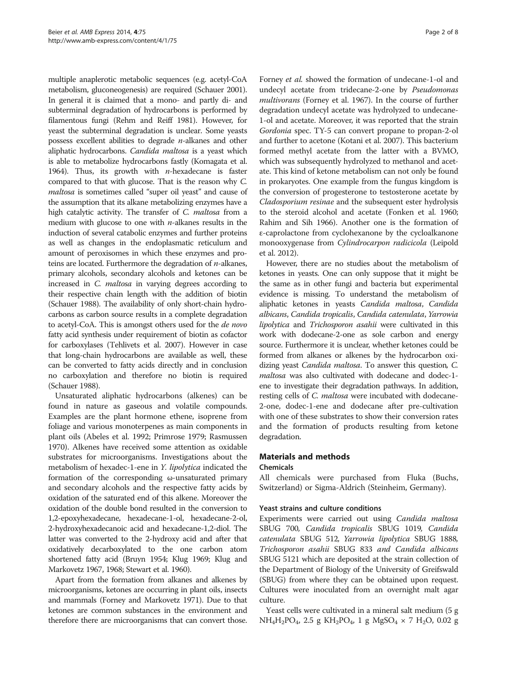multiple anaplerotic metabolic sequences (e.g. acetyl-CoA metabolism, gluconeogenesis) are required (Schauer [2001](#page-7-0)). In general it is claimed that a mono- and partly di- and subterminal degradation of hydrocarbons is performed by filamentous fungi (Rehm and Reiff [1981\)](#page-7-0). However, for yeast the subterminal degradation is unclear. Some yeasts possess excellent abilities to degrade  $n$ -alkanes and other aliphatic hydrocarbons. Candida maltosa is a yeast which is able to metabolize hydrocarbons fastly (Komagata et al. [1964\)](#page-7-0). Thus, its growth with  $n$ -hexadecane is faster compared to that with glucose. That is the reason why C. maltosa is sometimes called "super oil yeast" and cause of the assumption that its alkane metabolizing enzymes have a high catalytic activity. The transfer of C. maltosa from a medium with glucose to one with  $n$ -alkanes results in the induction of several catabolic enzymes and further proteins as well as changes in the endoplasmatic reticulum and amount of peroxisomes in which these enzymes and proteins are located. Furthermore the degradation of  $n$ -alkanes, primary alcohols, secondary alcohols and ketones can be increased in C. maltosa in varying degrees according to their respective chain length with the addition of biotin (Schauer [1988](#page-7-0)). The availability of only short-chain hydrocarbons as carbon source results in a complete degradation to acetyl-CoA. This is amongst others used for the de novo fatty acid synthesis under requirement of biotin as cofactor for carboxylases (Tehlivets et al. [2007\)](#page-7-0). However in case that long-chain hydrocarbons are available as well, these can be converted to fatty acids directly and in conclusion no carboxylation and therefore no biotin is required (Schauer [1988](#page-7-0)).

Unsaturated aliphatic hydrocarbons (alkenes) can be found in nature as gaseous and volatile compounds. Examples are the plant hormone ethene, isoprene from foliage and various monoterpenes as main components in plant oils (Abeles et al. [1992;](#page-6-0) Primrose [1979](#page-7-0); Rasmussen [1970\)](#page-7-0). Alkenes have received some attention as oxidable substrates for microorganisms. Investigations about the metabolism of hexadec-1-ene in Y. lipolytica indicated the formation of the corresponding ω-unsaturated primary and secondary alcohols and the respective fatty acids by oxidation of the saturated end of this alkene. Moreover the oxidation of the double bond resulted in the conversion to 1,2-epoxyhexadecane, hexadecane-1-ol, hexadecane-2-ol, 2-hydroxyhexadecanoic acid and hexadecane-1,2-diol. The latter was converted to the 2-hydroxy acid and after that oxidatively decarboxylated to the one carbon atom shortened fatty acid (Bruyn [1954](#page-7-0); Klug [1969;](#page-7-0) Klug and Markovetz [1967](#page-7-0), [1968;](#page-7-0) Stewart et al. [1960](#page-7-0)).

Apart from the formation from alkanes and alkenes by microorganisms, ketones are occurring in plant oils, insects and mammals (Forney and Markovetz [1971](#page-7-0)). Due to that ketones are common substances in the environment and therefore there are microorganisms that can convert those.

Forney et al. showed the formation of undecane-1-ol and undecyl acetate from tridecane-2-one by Pseudomonas multivorans (Forney et al. [1967\)](#page-7-0). In the course of further degradation undecyl acetate was hydrolyzed to undecane-1-ol and acetate. Moreover, it was reported that the strain Gordonia spec. TY-5 can convert propane to propan-2-ol and further to acetone (Kotani et al. [2007\)](#page-7-0). This bacterium formed methyl acetate from the latter with a BVMO, which was subsequently hydrolyzed to methanol and acetate. This kind of ketone metabolism can not only be found in prokaryotes. One example from the fungus kingdom is the conversion of progesterone to testosterone acetate by Cladosporium resinae and the subsequent ester hydrolysis to the steroid alcohol and acetate (Fonken et al. [1960](#page-7-0); Rahim and Sih [1966](#page-7-0)). Another one is the formation of ε-caprolactone from cyclohexanone by the cycloalkanone monooxygenase from Cylindrocarpon radicicola (Leipold et al. [2012](#page-7-0)).

However, there are no studies about the metabolism of ketones in yeasts. One can only suppose that it might be the same as in other fungi and bacteria but experimental evidence is missing. To understand the metabolism of aliphatic ketones in yeasts Candida maltosa, Candida albicans, Candida tropicalis, Candida catenulata, Yarrowia lipolytica and Trichosporon asahii were cultivated in this work with dodecane-2-one as sole carbon and energy source. Furthermore it is unclear, whether ketones could be formed from alkanes or alkenes by the hydrocarbon oxidizing yeast Candida maltosa. To answer this question, C. maltosa was also cultivated with dodecane and dodec-1 ene to investigate their degradation pathways. In addition, resting cells of C. maltosa were incubated with dodecane-2-one, dodec-1-ene and dodecane after pre-cultivation with one of these substrates to show their conversion rates and the formation of products resulting from ketone degradation.

#### Materials and methods

#### Chemicals

All chemicals were purchased from Fluka (Buchs, Switzerland) or Sigma-Aldrich (Steinheim, Germany).

## Yeast strains and culture conditions

Experiments were carried out using Candida maltosa SBUG 700, Candida tropicalis SBUG 1019, Candida catenulata SBUG 512, Yarrowia lipolytica SBUG 1888, Trichosporon asahii SBUG 833 and Candida albicans SBUG 5121 which are deposited at the strain collection of the Department of Biology of the University of Greifswald (SBUG) from where they can be obtained upon request. Cultures were inoculated from an overnight malt agar culture.

Yeast cells were cultivated in a mineral salt medium (5 g  $NH_4H_2PO_4$ , 2.5 g  $KH_2PO_4$ , 1 g  $MgSO_4 \times 7 H_2O$ , 0.02 g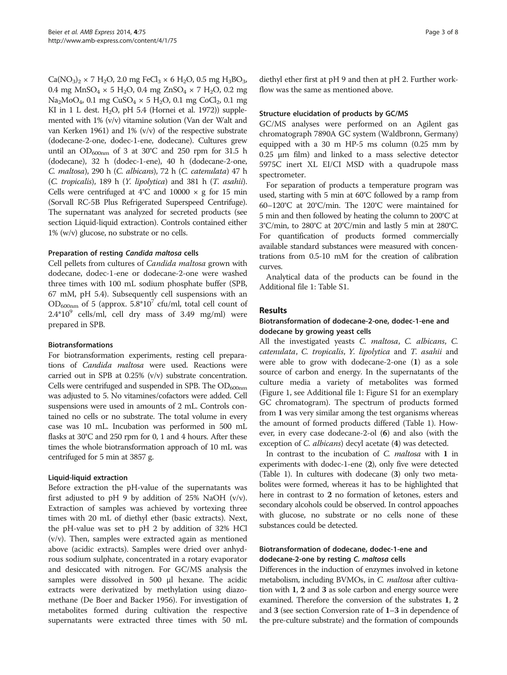$Ca(NO_3)_2 \times 7 H_2O$ , 2.0 mg FeCl<sub>3</sub>  $\times$  6 H<sub>2</sub>O, 0.5 mg H<sub>3</sub>BO<sub>3</sub>, 0.4 mg MnSO<sub>4</sub>  $\times$  5 H<sub>2</sub>O, 0.4 mg ZnSO<sub>4</sub>  $\times$  7 H<sub>2</sub>O, 0.2 mg Na<sub>2</sub>MoO<sub>4</sub>, 0.1 mg CuSO<sub>4</sub> × 5 H<sub>2</sub>O, 0.1 mg CoCl<sub>2</sub>, 0.1 mg KI in 1 L dest.  $H_2O$ , pH 5.4 (Hornei et al. [1972\)](#page-7-0)) supplemented with 1% (v/v) vitamine solution (Van der Walt and van Kerken [1961\)](#page-7-0) and 1% (v/v) of the respective substrate (dodecane-2-one, dodec-1-ene, dodecane). Cultures grew until an  $OD_{600nm}$  of 3 at 30°C and 250 rpm for 31.5 h (dodecane), 32 h (dodec-1-ene), 40 h (dodecane-2-one, C. maltosa), 290 h (C. albicans), 72 h (C. catenulata) 47 h (C. tropicalis), 189 h (Y. lipolytica) and 381 h (T. asahii). Cells were centrifuged at  $4^{\circ}$ C and  $10000 \times g$  for 15 min (Sorvall RC-5B Plus Refrigerated Superspeed Centrifuge). The supernatant was analyzed for secreted products (see section Liquid-liquid extraction). Controls contained either 1% (w/v) glucose, no substrate or no cells.

#### Preparation of resting Candida maltosa cells

Cell pellets from cultures of Candida maltosa grown with dodecane, dodec-1-ene or dodecane-2-one were washed three times with 100 mL sodium phosphate buffer (SPB, 67 mM, pH 5.4). Subsequently cell suspensions with an  $OD_{600nm}$  of 5 (approx. 5.8\*10<sup>7</sup> cfu/ml, total cell count of  $2.4*10<sup>9</sup>$  cells/ml, cell dry mass of 3.49 mg/ml) were prepared in SPB.

#### Biotransformations

For biotransformation experiments, resting cell preparations of Candida maltosa were used. Reactions were carried out in SPB at 0.25% (v/v) substrate concentration. Cells were centrifuged and suspended in SPB. The  $OD_{600nm}$ was adjusted to 5. No vitamines/cofactors were added. Cell suspensions were used in amounts of 2 mL. Controls contained no cells or no substrate. The total volume in every case was 10 mL. Incubation was performed in 500 mL flasks at 30°C and 250 rpm for 0, 1 and 4 hours. After these times the whole biotransformation approach of 10 mL was centrifuged for 5 min at 3857 g.

#### Liquid-liquid extraction

Before extraction the pH-value of the supernatants was first adjusted to pH 9 by addition of  $25\%$  NaOH (v/v). Extraction of samples was achieved by vortexing three times with 20 mL of diethyl ether (basic extracts). Next, the pH-value was set to pH 2 by addition of 32% HCl (v/v). Then, samples were extracted again as mentioned above (acidic extracts). Samples were dried over anhydrous sodium sulphate, concentrated in a rotary evaporator and desiccated with nitrogen. For GC/MS analysis the samples were dissolved in 500 μl hexane. The acidic extracts were derivatized by methylation using diazomethane (De Boer and Backer [1956\)](#page-7-0). For investigation of metabolites formed during cultivation the respective supernatants were extracted three times with 50 mL diethyl ether first at pH 9 and then at pH 2. Further workflow was the same as mentioned above.

## Structure elucidation of products by GC/MS

GC/MS analyses were performed on an Agilent gas chromatograph 7890A GC system (Waldbronn, Germany) equipped with a 30 m HP-5 ms column (0.25 mm by 0.25 μm film) and linked to a mass selective detector 5975C inert XL EI/CI MSD with a quadrupole mass spectrometer.

For separation of products a temperature program was used, starting with 5 min at 60°C followed by a ramp from 60–120°C at 20°C/min. The 120°C were maintained for 5 min and then followed by heating the column to 200°C at 3°C/min, to 280°C at 20°C/min and lastly 5 min at 280°C. For quantification of products formed commercially available standard substances were measured with concentrations from 0.5-10 mM for the creation of calibration curves.

Analytical data of the products can be found in the Additional file [1](#page-6-0): Table S1.

## **Results**

#### Biotransformation of dodecane-2-one, dodec-1-ene and dodecane by growing yeast cells

All the investigated yeasts C. maltosa, C. albicans, C. catenulata, C. tropicalis, Y. lipolytica and T. asahii and were able to grow with dodecane-2-one (1) as a sole source of carbon and energy. In the supernatants of the culture media a variety of metabolites was formed (Figure [1,](#page-3-0) see Additional file [1](#page-6-0): Figure S1 for an exemplary GC chromatogram). The spectrum of products formed from 1 was very similar among the test organisms whereas the amount of formed products differed (Table [1\)](#page-3-0). However, in every case dodecane-2-ol (6) and also (with the exception of C. albicans) decyl acetate (4) was detected.

In contrast to the incubation of C. maltosa with 1 in experiments with dodec-1-ene (2), only five were detected (Table [1](#page-3-0)). In cultures with dodecane (3) only two metabolites were formed, whereas it has to be highlighted that here in contrast to 2 no formation of ketones, esters and secondary alcohols could be observed. In control appoaches with glucose, no substrate or no cells none of these substances could be detected.

## Biotransformation of dodecane, dodec-1-ene and dodecane-2-one by resting C. maltosa cells

Differences in the induction of enzymes involved in ketone metabolism, including BVMOs, in C. *maltosa* after cultivation with 1, 2 and 3 as sole carbon and energy source were examined. Therefore the conversion of the substrates 1, 2 and 3 (see section [Conversion rate of](#page-3-0) 1–3 in dependence of [the pre-culture substrate\)](#page-3-0) and the formation of compounds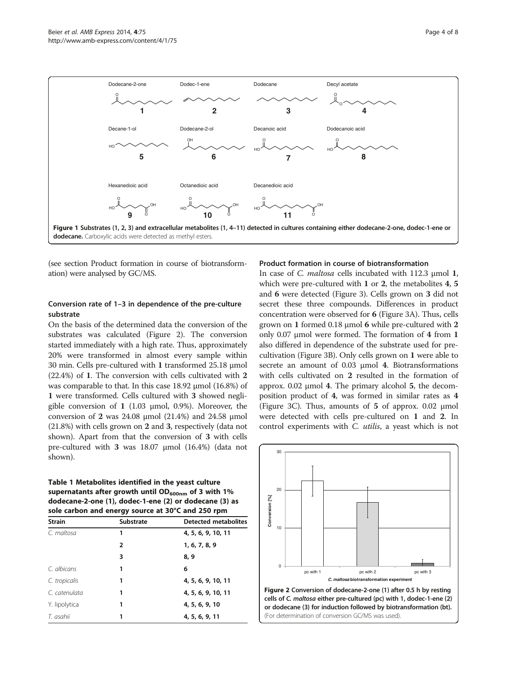<span id="page-3-0"></span>

(see section Product formation in course of biotransformation) were analysed by GC/MS.

#### Conversion rate of 1–3 in dependence of the pre-culture substrate

On the basis of the determined data the conversion of the substrates was calculated (Figure 2). The conversion started immediately with a high rate. Thus, approximately 20% were transformed in almost every sample within 30 min. Cells pre-cultured with 1 transformed 25.18 μmol (22.4%) of 1. The conversion with cells cultivated with 2 was comparable to that. In this case 18.92 μmol (16.8%) of 1 were transformed. Cells cultured with 3 showed negligible conversion of 1 (1.03 μmol, 0.9%). Moreover, the conversion of 2 was 24.08 μmol (21.4%) and 24.58 μmol (21.8%) with cells grown on 2 and 3, respectively (data not shown). Apart from that the conversion of 3 with cells pre-cultured with 3 was 18.07 μmol (16.4%) (data not shown).

| Table 1 Metabolites identified in the veast culture       |  |  |
|-----------------------------------------------------------|--|--|
| supernatants after growth until $OD_{600nm}$ of 3 with 1% |  |  |
| dodecane-2-one (1), dodec-1-ene (2) or dodecane (3) as    |  |  |
| sole carbon and energy source at 30°C and 250 rpm         |  |  |

| <b>Strain</b> | Substrate | <b>Detected metabolites</b> |
|---------------|-----------|-----------------------------|
| C. maltosa    | 1         | 4, 5, 6, 9, 10, 11          |
|               | 2         | 1, 6, 7, 8, 9               |
|               | 3         | 8, 9                        |
| C. albicans   | 1         | 6                           |
| C. tropicalis | 1         | 4, 5, 6, 9, 10, 11          |
| C. catenulata | 1         | 4, 5, 6, 9, 10, 11          |
| Y. lipolytica | 1         | 4, 5, 6, 9, 10              |
| T. asahii     | 1         | 4, 5, 6, 9, 11              |

## Product formation in course of biotransformation

In case of C. maltosa cells incubated with 112.3 μmol 1, which were pre-cultured with 1 or 2, the metabolites 4, 5 and 6 were detected (Figure [3](#page-4-0)). Cells grown on 3 did not secret these three compounds. Differences in product concentration were observed for 6 (Figure [3](#page-4-0)A). Thus, cells grown on 1 formed 0.18 μmol 6 while pre-cultured with 2 only 0.07 μmol were formed. The formation of 4 from 1 also differed in dependence of the substrate used for precultivation (Figure [3](#page-4-0)B). Only cells grown on 1 were able to secrete an amount of 0.03 μmol 4. Biotransformations with cells cultivated on 2 resulted in the formation of approx. 0.02 μmol 4. The primary alcohol 5, the decomposition product of 4, was formed in similar rates as 4 (Figure [3C](#page-4-0)). Thus, amounts of  $5$  of approx. 0.02  $\mu$ mol were detected with cells pre-cultured on 1 and 2. In control experiments with C. utilis, a yeast which is not

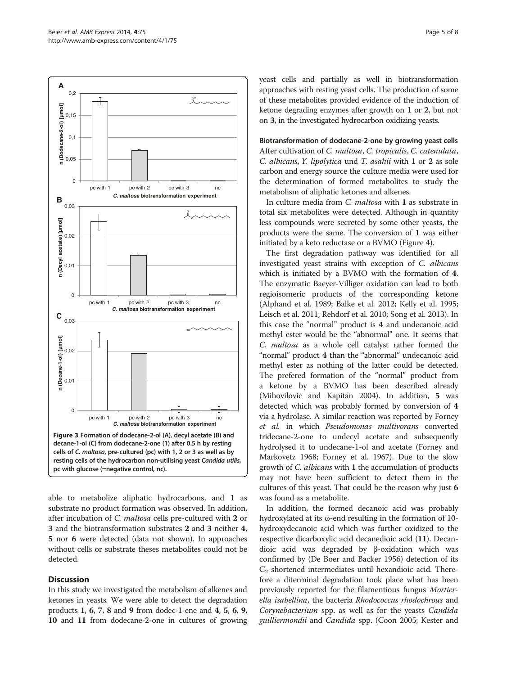<span id="page-4-0"></span>

able to metabolize aliphatic hydrocarbons, and 1 as substrate no product formation was observed. In addition, after incubation of C. maltosa cells pre-cultured with 2 or 3 and the biotransformation substrates 2 and 3 neither 4, 5 nor 6 were detected (data not shown). In approaches without cells or substrate theses metabolites could not be detected.

#### **Discussion**

In this study we investigated the metabolism of alkenes and ketones in yeasts. We were able to detect the degradation products 1, 6, 7, 8 and 9 from dodec-1-ene and 4, 5, 6, 9, 10 and 11 from dodecane-2-one in cultures of growing yeast cells and partially as well in biotransformation approaches with resting yeast cells. The production of some of these metabolites provided evidence of the induction of ketone degrading enzymes after growth on 1 or 2, but not on 3, in the investigated hydrocarbon oxidizing yeasts.

Biotransformation of dodecane-2-one by growing yeast cells After cultivation of C. maltosa, C. tropicalis, C. catenulata, C. albicans, Y. lipolytica und T. asahii with 1 or 2 as sole carbon and energy source the culture media were used for the determination of formed metabolites to study the metabolism of aliphatic ketones and alkenes.

In culture media from *C. maltosa* with 1 as substrate in total six metabolites were detected. Although in quantity less compounds were secreted by some other yeasts, the products were the same. The conversion of 1 was either initiated by a keto reductase or a BVMO (Figure [4](#page-5-0)).

The first degradation pathway was identified for all investigated yeast strains with exception of C. albicans which is initiated by a BVMO with the formation of 4. The enzymatic Baeyer-Villiger oxidation can lead to both regioisomeric products of the corresponding ketone (Alphand et al. [1989](#page-7-0); Balke et al. [2012;](#page-7-0) Kelly et al. [1995](#page-7-0); Leisch et al. [2011;](#page-7-0) Rehdorf et al. [2010;](#page-7-0) Song et al. [2013](#page-7-0)). In this case the "normal" product is 4 and undecanoic acid methyl ester would be the "abnormal" one. It seems that C. maltosa as a whole cell catalyst rather formed the "normal" product 4 than the "abnormal" undecanoic acid methyl ester as nothing of the latter could be detected. The prefered formation of the "normal" product from a ketone by a BVMO has been described already (Mihovilovic and Kapitán [2004](#page-7-0)). In addition, 5 was detected which was probably formed by conversion of 4 via a hydrolase. A similar reaction was reported by Forney et al. in which Pseudomonas multivorans converted tridecane-2-one to undecyl acetate and subsequently hydrolysed it to undecane-1-ol and acetate (Forney and Markovetz [1968;](#page-7-0) Forney et al. [1967\)](#page-7-0). Due to the slow growth of C. albicans with 1 the accumulation of products may not have been sufficient to detect them in the cultures of this yeast. That could be the reason why just 6 was found as a metabolite.

In addition, the formed decanoic acid was probably hydroxylated at its ω-end resulting in the formation of 10 hydroxydecanoic acid which was further oxidized to the respective dicarboxylic acid decanedioic acid (11). Decandioic acid was degraded by β-oxidation which was confirmed by (De Boer and Backer [1956\)](#page-7-0) detection of its  $C_2$  shortened intermediates until hexandioic acid. Therefore a diterminal degradation took place what has been previously reported for the filamentious fungus Mortierella isabellina, the bacteria Rhodococcus rhodochrous and Corynebacterium spp. as well as for the yeasts Candida guilliermondii and Candida spp. (Coon [2005;](#page-7-0) Kester and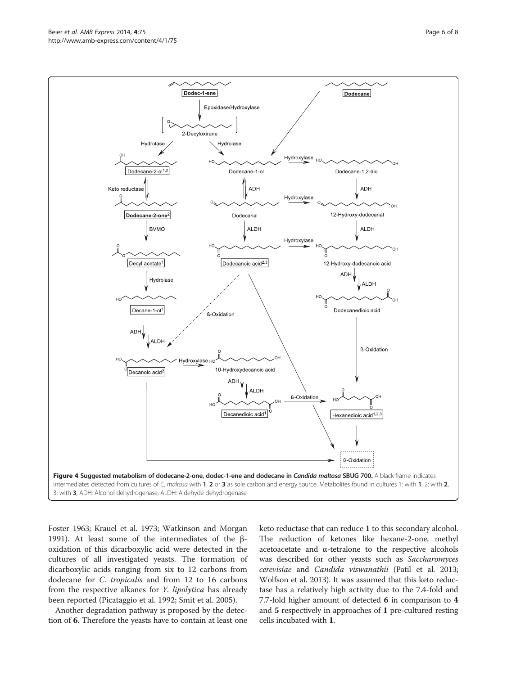<span id="page-5-0"></span>

Foster [1963;](#page-7-0) Krauel et al. [1973;](#page-7-0) Watkinson and Morgan [1991](#page-7-0)). At least some of the intermediates of the βoxidation of this dicarboxylic acid were detected in the cultures of all investigated yeasts. The formation of dicarboxylic acids ranging from six to 12 carbons from dodecane for C. tropicalis and from 12 to 16 carbons from the respective alkanes for *Y. lipolytica* has already been reported (Picataggio et al. [1992](#page-7-0); Smit et al. [2005\)](#page-7-0).

Another degradation pathway is proposed by the detection of 6. Therefore the yeasts have to contain at least one keto reductase that can reduce 1 to this secondary alcohol. The reduction of ketones like hexane-2-one, methyl acetoacetate and α-tetralone to the respective alcohols was described for other yeasts such as Saccharomyces cerevisiae and Candida viswanathii (Patil et al. [2013](#page-7-0); Wolfson et al. [2013](#page-7-0)). It was assumed that this keto reductase has a relatively high activity due to the 7.4-fold and 7.7-fold higher amount of detected 6 in comparison to 4 and 5 respectively in approaches of 1 pre-cultured resting cells incubated with 1.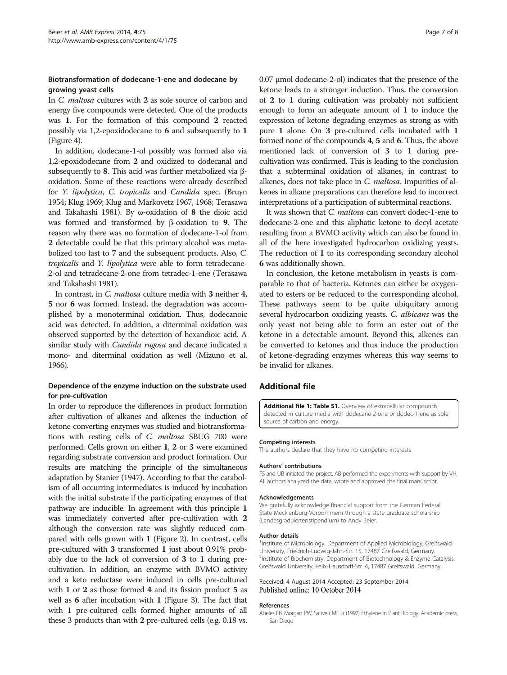## <span id="page-6-0"></span>Biotransformation of dodecane-1-ene and dodecane by growing yeast cells

In C. maltosa cultures with 2 as sole source of carbon and energy five compounds were detected. One of the products was 1. For the formation of this compound 2 reacted possibly via 1,2-epoxidodecane to 6 and subsequently to 1 (Figure [4\)](#page-5-0).

In addition, dodecane-1-ol possibly was formed also via 1,2-epoxidodecane from 2 and oxidized to dodecanal and subsequently to 8. This acid was further metabolized via βoxidation. Some of these reactions were already described for Y. lipolytica, C. tropicalis and Candida spec. (Bruyn [1954;](#page-7-0) Klug [1969;](#page-7-0) Klug and Markovetz [1967](#page-7-0), [1968;](#page-7-0) Terasawa and Takahashi [1981](#page-7-0)). By ω-oxidation of 8 the dioic acid was formed and transformed by β-oxidation to 9. The reason why there was no formation of dodecane-1-ol from 2 detectable could be that this primary alcohol was metabolized too fast to 7 and the subsequent products. Also, C. tropicalis and Y. lipolytica were able to form tetradecane-2-ol and tetradecane-2-one from tetradec-1-ene (Terasawa and Takahashi [1981](#page-7-0)).

In contrast, in C. maltosa culture media with 3 neither 4, 5 nor 6 was formed. Instead, the degradation was accomplished by a monoterminal oxidation. Thus, dodecanoic acid was detected. In addition, a diterminal oxidation was observed supported by the detection of hexandioic acid. A similar study with Candida rugosa and decane indicated a mono- and diterminal oxidation as well (Mizuno et al. [1966\)](#page-7-0).

## Dependence of the enzyme induction on the substrate used for pre-cultivation

In order to reproduce the differences in product formation after cultivation of alkanes and alkenes the induction of ketone converting enzymes was studied and biotransformations with resting cells of C. maltosa SBUG 700 were performed. Cells grown on either 1, 2 or 3 were examined regarding substrate conversion and product formation. Our results are matching the principle of the simultaneous adaptation by Stanier [\(1947](#page-7-0)). According to that the catabolism of all occurring intermediates is induced by incubation with the initial substrate if the participating enzymes of that pathway are inducible. In agreement with this principle 1 was immediately converted after pre-cultivation with 2 although the conversion rate was slightly reduced compared with cells grown with 1 (Figure [2](#page-3-0)). In contrast, cells pre-cultured with 3 transformed 1 just about 0.91% probably due to the lack of conversion of 3 to 1 during precultivation. In addition, an enzyme with BVMO activity and a keto reductase were induced in cells pre-cultured with 1 or 2 as those formed 4 and its fission product 5 as well as 6 after incubation with 1 (Figure [3](#page-4-0)). The fact that with 1 pre-cultured cells formed higher amounts of all these 3 products than with 2 pre-cultured cells (e.g. 0.18 vs. 0.07 μmol dodecane-2-ol) indicates that the presence of the ketone leads to a stronger induction. Thus, the conversion of 2 to 1 during cultivation was probably not sufficient enough to form an adequate amount of 1 to induce the expression of ketone degrading enzymes as strong as with pure 1 alone. On 3 pre-cultured cells incubated with 1 formed none of the compounds 4, 5 and 6. Thus, the above mentioned lack of conversion of 3 to 1 during precultivation was confirmed. This is leading to the conclusion that a subterminal oxidation of alkanes, in contrast to alkenes, does not take place in C. maltosa. Impurities of alkenes in alkane preparations can therefore lead to incorrect interpretations of a participation of subterminal reactions.

It was shown that C. maltosa can convert dodec-1-ene to dodecane-2-one and this aliphatic ketone to decyl acetate resulting from a BVMO activity which can also be found in all of the here investigated hydrocarbon oxidizing yeasts. The reduction of 1 to its corresponding secondary alcohol 6 was additionally shown.

In conclusion, the ketone metabolism in yeasts is comparable to that of bacteria. Ketones can either be oxygenated to esters or be reduced to the corresponding alcohol. These pathways seem to be quite ubiquitary among several hydrocarbon oxidizing yeasts. C. albicans was the only yeast not being able to form an ester out of the ketone in a detectable amount. Beyond this, alkenes can be converted to ketones and thus induce the production of ketone-degrading enzymes whereas this way seems to be invalid for alkanes.

#### Additional file

[Additional file 1: Table S1.](http://www.amb-express.com/content/supplementary/s13568-014-0075-2-s1.docx) Overview of extracellular compounds detected in culture media with dodecane-2-one or dodec-1-ene as sole source of carbon and energy.

#### Competing interests

The authors declare that they have no competing interests

#### Authors' contributions

FS and UB initiated the project. AB performed the experiments with support by VH. All authors analyzed the data, wrote and approved the final manuscript.

#### Acknowledgements

We gratefully acknowledge financial support from the German Federal State Mecklenburg-Vorpommern through a state graduate scholarship (Landesgraduiertenstipendium) to Andy Beier.

#### Author details

<sup>1</sup>Institute of Microbiology, Department of Applied Microbiology, Greifswald University, Friedrich-Ludwig-Jahn-Str. 15, 17487 Greifswald, Germany. <sup>2</sup>Institute of Biochemistry, Department of Biotechnology & Enzyme Catalysis Greifswald University, Felix-Hausdorff-Str. 4, 17487 Greifswald, Germany.

#### Received: 4 August 2014 Accepted: 23 September 2014 Published online: 10 October 2014

#### References

Abeles FB, Morgan PW, Saltveit ME Jr (1992) Ethylene in Plant Biology. Academic press, San Diego